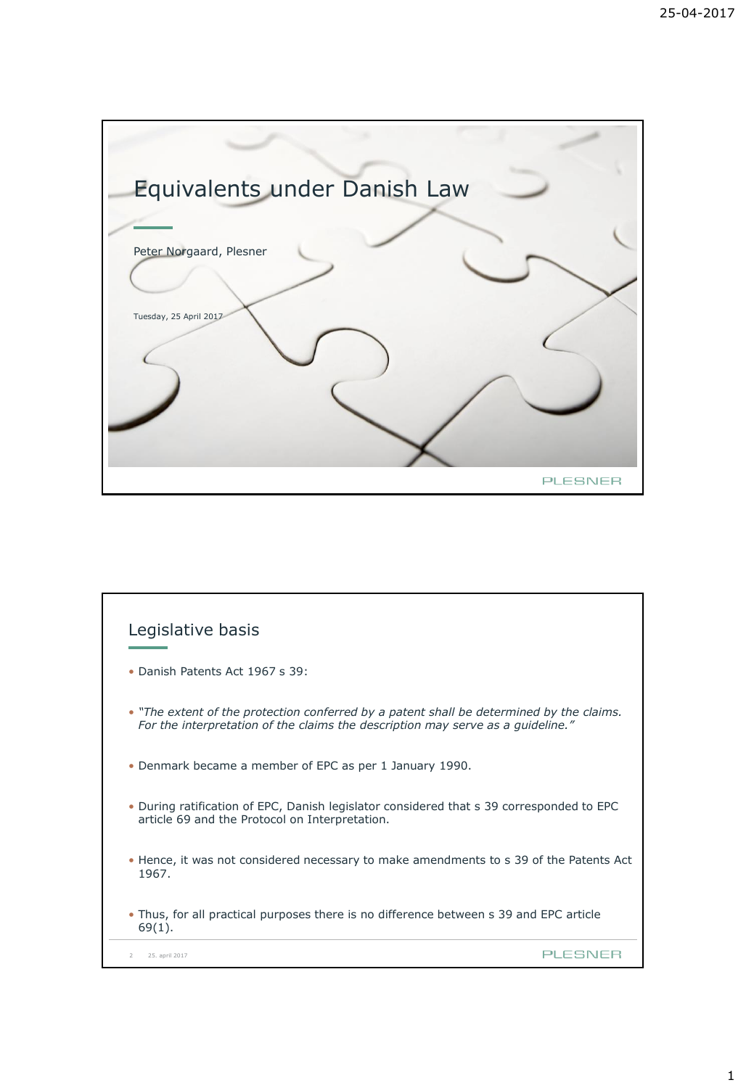

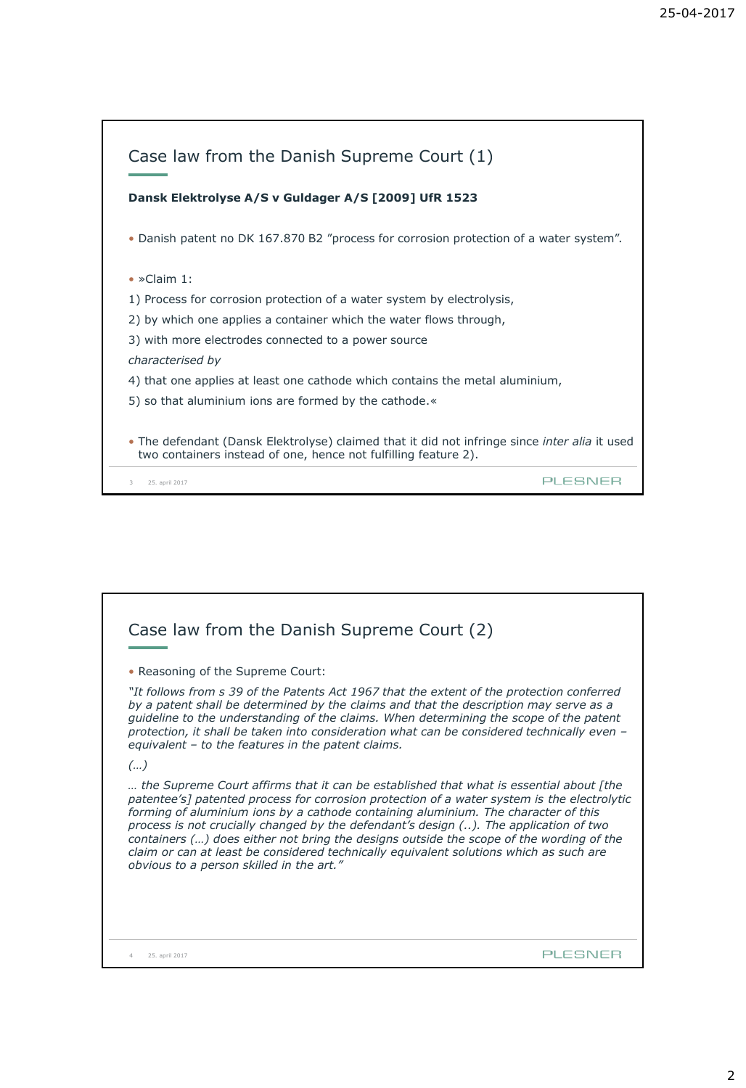| Case law from the Danish Supreme Court (1)                                                                                                                              |
|-------------------------------------------------------------------------------------------------------------------------------------------------------------------------|
| Dansk Elektrolyse A/S v Guldager A/S [2009] UfR 1523                                                                                                                    |
| • Danish patent no DK 167.870 B2 "process for corrosion protection of a water system".                                                                                  |
| $\bullet$ »Claim 1:                                                                                                                                                     |
| 1) Process for corrosion protection of a water system by electrolysis,                                                                                                  |
| 2) by which one applies a container which the water flows through,                                                                                                      |
| 3) with more electrodes connected to a power source                                                                                                                     |
| characterised by                                                                                                                                                        |
| 4) that one applies at least one cathode which contains the metal aluminium,                                                                                            |
| 5) so that aluminium ions are formed by the cathode.                                                                                                                    |
| • The defendant (Dansk Elektrolyse) claimed that it did not infringe since <i>inter alia</i> it used<br>two containers instead of one, hence not fulfilling feature 2). |
| PLESNEE<br>25. april 2017<br>3                                                                                                                                          |

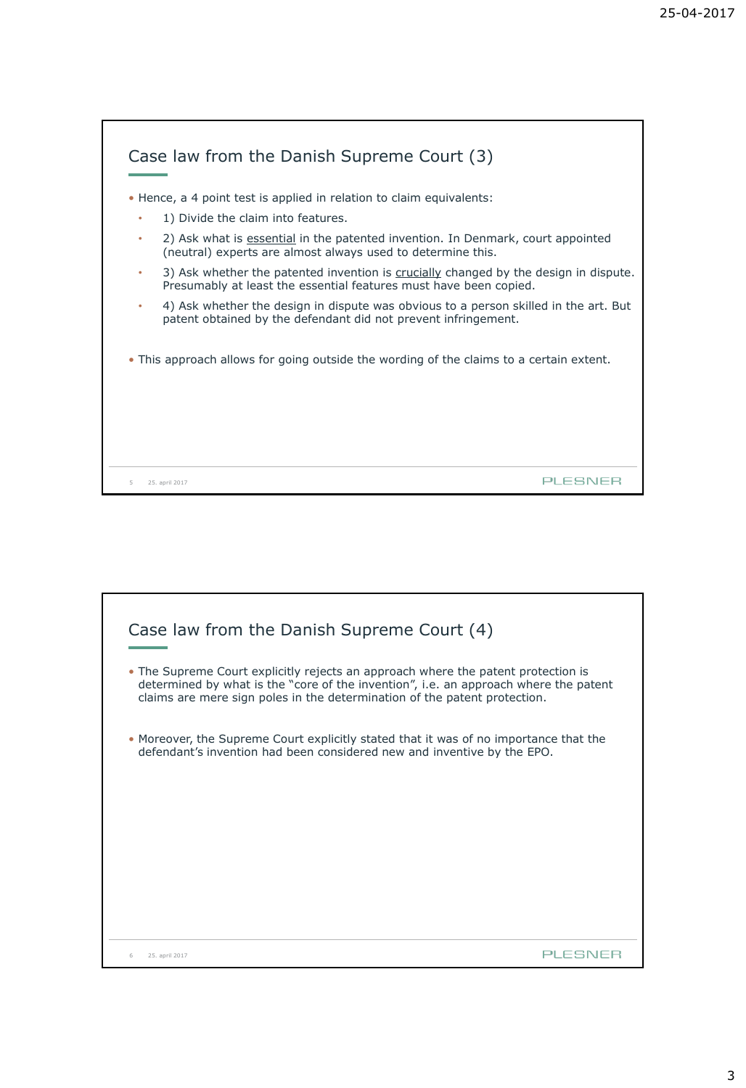|   | • Hence, a 4 point test is applied in relation to claim equivalents:                                                                                      |
|---|-----------------------------------------------------------------------------------------------------------------------------------------------------------|
| ۰ | 1) Divide the claim into features.                                                                                                                        |
|   | 2) Ask what is essential in the patented invention. In Denmark, court appointed<br>(neutral) experts are almost always used to determine this.            |
| ۰ | 3) Ask whether the patented invention is crucially changed by the design in dispute.<br>Presumably at least the essential features must have been copied. |
| ۰ | 4) Ask whether the design in dispute was obvious to a person skilled in the art. But<br>patent obtained by the defendant did not prevent infringement.    |
|   |                                                                                                                                                           |
|   | • This approach allows for going outside the wording of the claims to a certain extent.                                                                   |
|   |                                                                                                                                                           |
|   |                                                                                                                                                           |

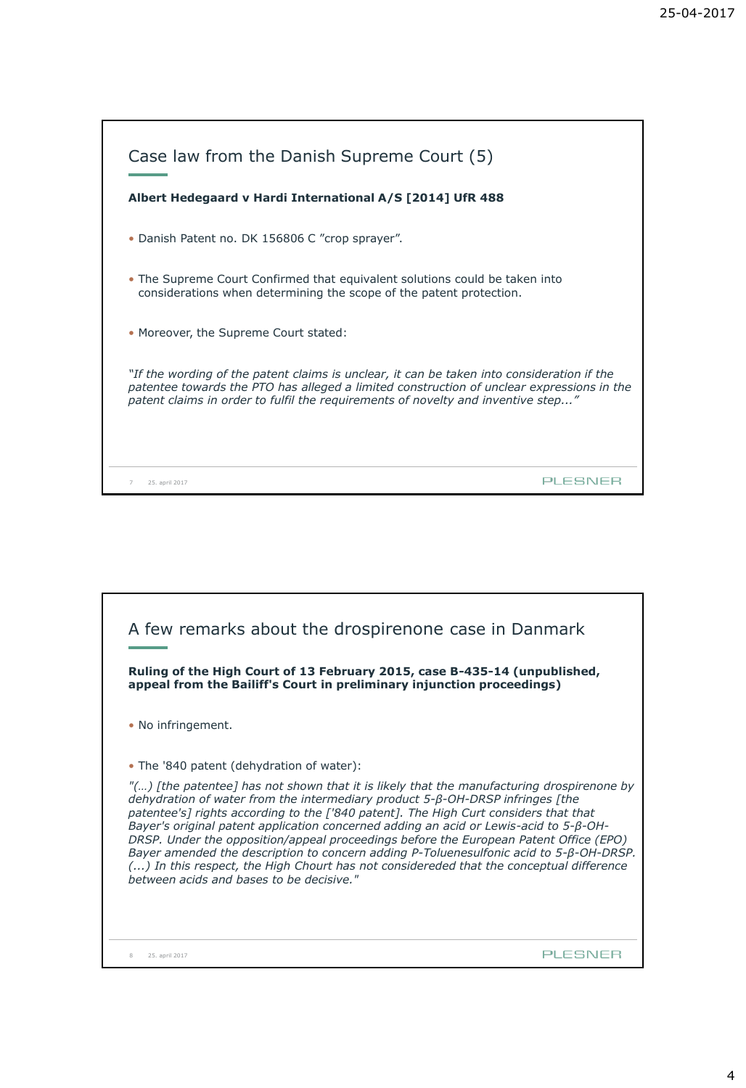| Case law from the Danish Supreme Court (5)<br>Albert Hedegaard v Hardi International A/S [2014] UfR 488                                                                                                                                                                     |
|-----------------------------------------------------------------------------------------------------------------------------------------------------------------------------------------------------------------------------------------------------------------------------|
| • Danish Patent no. DK 156806 C "crop sprayer".                                                                                                                                                                                                                             |
| • The Supreme Court Confirmed that equivalent solutions could be taken into<br>considerations when determining the scope of the patent protection.                                                                                                                          |
| • Moreover, the Supreme Court stated:                                                                                                                                                                                                                                       |
| "If the wording of the patent claims is unclear, it can be taken into consideration if the<br>patentee towards the PTO has alleged a limited construction of unclear expressions in the<br>patent claims in order to fulfil the requirements of novelty and inventive step" |
| 25. april 2017                                                                                                                                                                                                                                                              |